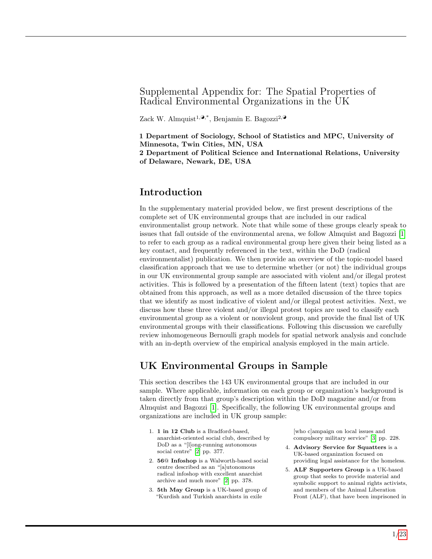### Supplemental Appendix for: The Spatial Properties of Radical Environmental Organizations in the UK

Zack W. Almquist<sup>1, $\mathbf{\Theta}^*$ </sup>, Benjamin E. Bagozzi<sup>2, $\mathbf{\Theta}$ </sup>

1 Department of Sociology, School of Statistics and MPC, University of Minnesota, Twin Cities, MN, USA

2 Department of Political Science and International Relations, University of Delaware, Newark, DE, USA

### Introduction

In the supplementary material provided below, we first present descriptions of the complete set of UK environmental groups that are included in our radical environmentalist group network. Note that while some of these groups clearly speak to issues that fall outside of the environmental arena, we follow Almquist and Bagozzi [\[1\]](#page-20-0) to refer to each group as a radical environmental group here given their being listed as a key contact, and frequently referenced in the text, within the DoD (radical environmentalist) publication. We then provide an overview of the topic-model based classification approach that we use to determine whether (or not) the individual groups in our UK environmental group sample are associated with violent and/or illegal protest activities. This is followed by a presentation of the fifteen latent (text) topics that are obtained from this approach, as well as a more detailed discussion of the three topics that we identify as most indicative of violent and/or illegal protest activities. Next, we discuss how these three violent and/or illegal protest topics are used to classify each environmental group as a violent or nonviolent group, and provide the final list of UK environmental groups with their classifications. Following this discussion we carefully review inhomogeneous Bernoulli graph models for spatial network analysis and conclude with an in-depth overview of the empirical analysis employed in the main article.

# UK Environmental Groups in Sample

This section describes the 143 UK environmental groups that are included in our sample. Where applicable, information on each group or organization's background is taken directly from that group's description within the DoD magazine and/or from Almquist and Bagozzi [\[1\]](#page-20-0). Specifically, the following UK environmental groups and organizations are included in UK group sample:

- 1. 1 in 12 Club is a Bradford-based, anarchist-oriented social club, described by DoD as a "[l]ong-running autonomous social centre" [\[2\]](#page-20-1) pp. 377.
- 2. 56@ Infoshop is a Walworth-based social centre described as an "[a]utonomous radical infoshop with excellent anarchist archive and much more" [\[2\]](#page-20-1) pp. 378.
- 3. 5th May Group is a UK-based group of "Kurdish and Turkish anarchists in exile

[who c]ampaign on local issues and compulsory military service" [\[3\]](#page-20-2) pp. 228.

- 4. Advisory Service for Squatters is a UK-based organization focused on providing legal assistance for the homeless.
- 5. ALF Supporters Group is a UK-based group that seeks to provide material and symbolic support to animal rights activists, and members of the Animal Liberation Front (ALF), that have been imprisoned in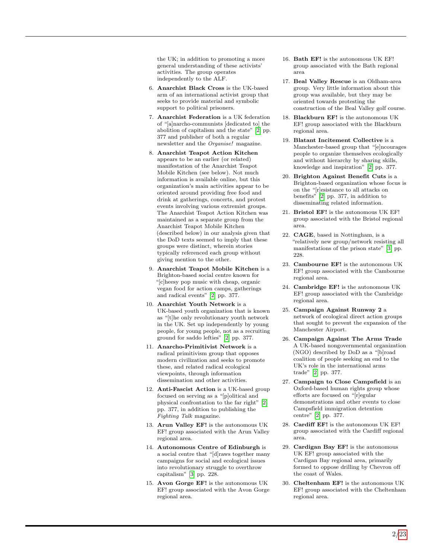the UK; in addition to promoting a more general understanding of these activists' activities. The group operates independently to the ALF.

- 6. Anarchist Black Cross is the UK-based arm of an international activist group that seeks to provide material and symbolic support to political prisoners.
- 7. Anarchist Federation is a UK federation of "[a]narcho-communists [dedicated to] the abolition of capitalism and the state" [\[2\]](#page-20-1) pp. 377 and publisher of both a regular newsletter and the Organise! magazine.
- 8. Anarchist Teapot Action Kitchen appears to be an earlier (or related) manifestation of the Anarchist Teapot Mobile Kitchen (see below). Not much information is available online, but this organization's main activities appear to be oriented around providing free food and drink at gatherings, concerts, and protest events involving various extremist groups. The Anarchist Teapot Action Kitchen was maintained as a separate group from the Anarchist Teapot Mobile Kitchen (described below) in our analysis given that the DoD texts seemed to imply that these groups were distinct, wherein stories typically referenced each group without giving mention to the other.
- 9. Anarchist Teapot Mobile Kitchen is a Brighton-based social centre known for "[c]heesy pop music with cheap, organic vegan food for action camps, gatherings and radical events" [\[2\]](#page-20-1) pp. 377.
- 10. Anarchist Youth Network is a UK-based youth organization that is known as "[t]he only revolutionary youth network in the UK. Set up independently by young people, for young people, not as a recruiting ground for saddo lefties" [\[2\]](#page-20-1) pp. 377.
- 11. Anarcho-Primitivist Network is a radical primitivism group that opposes modern civilization and seeks to promote these, and related radical ecological viewpoints, through information dissemination and other activities.
- 12. Anti-Fascist Action is a UK-based group focused on serving as a "[p]olitical and physical confrontation to the far right" [\[2\]](#page-20-1) pp. 377, in addition to publishing the Fighting Talk magazine.
- 13. Arun Valley EF! is the autonomous UK EF! group associated with the Arun Valley regional area.
- 14. Autonomous Centre of Edinburgh is a social centre that "[d]raws together many campaigns for social and ecological issues into revolutionary struggle to overthrow capitalism" [\[3\]](#page-20-2) pp. 228.
- 15. Avon Gorge EF! is the autonomous UK EF! group associated with the Avon Gorge regional area.
- 16. Bath EF! is the autonomous UK EF! group associated with the Bath regional area
- 17. Beal Valley Rescue is an Oldham-area group. Very little information about this group was available, but they may be oriented towards protesting the construction of the Beal Valley golf course.
- 18. Blackburn EF! is the autonomous UK EF! group associated with the Blackburn regional area.
- 19. Blatant Incitement Collective is a Manchester-based group that "[e]ncourages people to organize themselves ecologically and without hierarchy by sharing skills, knowledge and inspiration" [\[2\]](#page-20-1) pp. 377.
- 20. Brighton Against Benefit Cuts is a Brighton-based organization whose focus is on the "[r]esistance to all attacks on benefits" [\[2\]](#page-20-1) pp. 377, in addition to disseminating related information.
- 21. Bristol EF! is the autonomous UK EF! group associated with the Bristol regional area.
- 22. CAGE, based in Nottingham, is a "relatively new group/network resisting all manifestations of the prison state" [\[3\]](#page-20-2) pp. 228.
- 23. Cambourne EF! is the autonomous UK EF! group associated with the Cambourne regional area.
- 24. Cambridge EF! is the autonomous UK EF! group associated with the Cambridge regional area.
- 25. Campaign Against Runway 2 a network of ecological direct action groups that sought to prevent the expansion of the Manchester Airport.
- 26. Campaign Against The Arms Trade A UK-based nongovernmental organization (NGO) described by DoD as a "[b]road coalition of people seeking an end to the UK's role in the international arms trade" [\[2\]](#page-20-1) pp. 377.
- 27. Campaign to Close Campsfield is an Oxford-based human rights group whose efforts are focused on "[r]egular demonstrations and other events to close Campsfield immigration detention centre" [\[2\]](#page-20-1) pp. 377.
- 28. Cardiff EF! is the autonomous UK EF! group associated with the Cardiff regional area.
- 29. Cardigan Bay EF! is the autonomous UK EF! group associated with the Cardigan Bay regional area, primarily formed to oppose drilling by Chevron off the coast of Wales.
- 30. Cheltenham EF! is the autonomous UK EF! group associated with the Cheltenham regional area.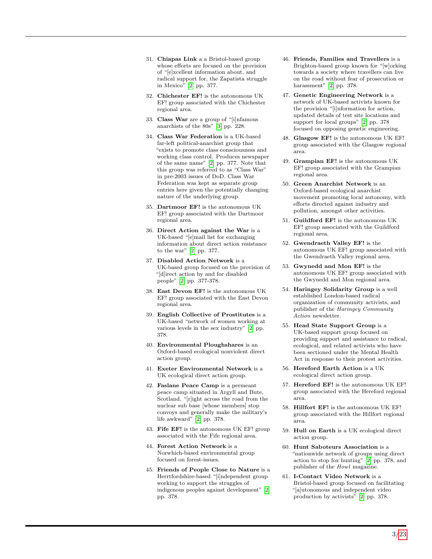- 31. Chiapas Link a a Bristol-based group whose efforts are focused on the provision of "[e]xcellent information about, and radical support for, the Zapatista struggle in Mexico" [\[2\]](#page-20-1) pp. 377.
- 32. Chichester EF! is the autonomous UK EF! group associated with the Chichester regional area.
- 33. Class War are a group of "[i]nfamous anarchists of the 80s" [\[3\]](#page-20-2) pp. 228.
- 34. Class War Federation is a UK-based far-left political-anarchist group that "exists to promote class consciousness and working class control. Produces newspaper of the same name" [\[2\]](#page-20-1) pp. 377. Note that this group was referred to as "Class War" in pre-2003 issues of DoD. Class War Federation was kept as separate group entries here given the potentially changing nature of the underlying group.
- 35. Dartmoor EF! is the autonomous UK EF! group associated with the Dartmoor regional area.
- 36. Direct Action against the War is a UK-based "[e]mail list for exchanging information about direct action resistance to the war" [\[2\]](#page-20-1) pp. 377.
- 37. Disabled Action Network is a UK-based group focused on the provision of "[d]irect action by and for disabled people" [\[2\]](#page-20-1) pp. 377-378.
- 38. East Devon EF! is the autonomous UK EF! group associated with the East Devon regional area.
- 39. English Collective of Prostitutes is a UK-based "network of women working at various levels in the sex industry" [\[2\]](#page-20-1) pp. 378.
- 40. Environmental Ploughshares is an Oxford-based ecological nonviolent direct action group.
- 41. Exeter Environmental Network is a UK ecological direct action group.
- 42. Faslane Peace Camp is a permeant peace camp situated in Argyll and Bute, Scotland, "[r]ight across the road from the nuclear sub base [whose members] stop convoys and generally make the military's life awkward" [\[2\]](#page-20-1) pp. 378.
- 43. Fife EF! is the autonomous UK EF! group associated with the Fife regional area.
- 44. Forest Action Network is a Norwhich-based environmental group focused on forest-issues.
- 45. Friends of People Close to Nature is a Herrtfordshire-based "[i]ndependent group working to support the struggles of indigenous peoples against development" [\[2\]](#page-20-1) pp. 378.
- 46. Friends, Families and Travellers is a Brighton-based group known for "[w]orking towards a society where travellers can live on the road without fear of prosecution or harassment" [\[2\]](#page-20-1) pp. 378.
- 47. Genetic Engineering Network is a network of UK-based activists known for the provision "[i]nformation for action, updated details of test site locations and support for local groups" [\[2\]](#page-20-1) pp. 378 focused on opposing genetic engineering.
- 48. Glasgow EF! is the autonomous UK EF! group associated with the Glasgow regional area.
- 49. Grampian EF! is the autonomous UK EF! group associated with the Grampian regional area.
- 50. Green Anarchist Network is an Oxford-based ecological anarchist movement promoting local autonomy, with efforts directed against industry and pollution, amongst other activities.
- 51. Guildford EF! is the autonomous UK EF! group associated with the Guildford regional area.
- 52. Gwendraeth Valley EF! is the autonomous UK EF! group associated with the Gwendraeth Valley regional area.
- 53. Gwynedd and Mon EF! is the autonomous UK EF! group associated with the Gwynedd and Mon regional area.
- 54. Haringey Solidarity Group is a well established London-based radical organization of community activists, and publisher of the Haringey Community Action newsletter.
- 55. Head State Support Group is a UK-based support group focused on providing support and assistance to radical, ecological, and related activists who have been sectioned under the Mental Health Act in response to their protest activities.
- 56. Hereford Earth Action is a UK ecological direct action group.
- 57. Hereford EF! is the autonomous UK EF! group associated with the Hereford regional area.
- 58. Hillfort EF! is the autonomous UK EF! group associated with the Hillfort regional area.
- 59. Hull on Earth is a UK ecological direct action group.
- 60. Hunt Saboteurs Association is a "nationwide network of groups using direct action to stop fox hunting" [\[2\]](#page-20-1) pp. 378, and publisher of the Howl magazine.
- 61. I-Contact Video Network is a Bristol-based group focused on facilitating "[a]utonomous and independent video production by activists" [\[2\]](#page-20-1) pp. 378.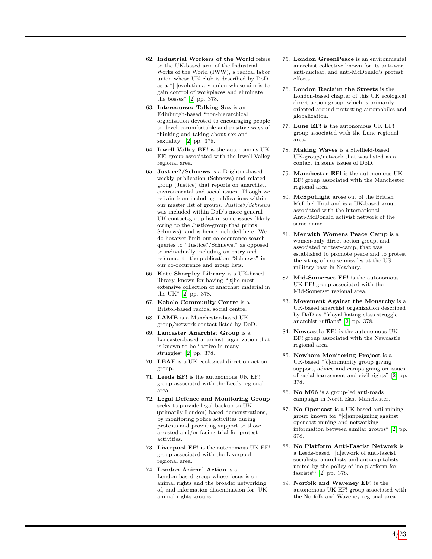- 62. Industrial Workers of the World refers to the UK-based arm of the Industrial Works of the World (IWW), a radical labor union whose UK club is described by DoD as a "[r]evolutionary union whose aim is to gain control of workplaces and eliminate the bosses" [\[2\]](#page-20-1) pp. 378.
- 63. Intercourse: Talking Sex is an Edinburgh-based "non-hierarchical organization devoted to encouraging people to develop comfortable and positive ways of thinking and taking about sex and sexuality" [\[2\]](#page-20-1) pp. 378.
- 64. Irwell Valley EF! is the autonomous UK EF! group associated with the Irwell Valley regional area.
- 65. Justice?/Schnews is a Brighton-based weekly publication (Schnews) and related group (Justice) that reports on anarchist, environmental and social issues. Though we refrain from including publications within our master list of groups, Justice?/Schnews was included within DoD's more general UK contact-group list in some issues (likely owing to the Justice-group that prints Schnews), and is hence included here. We do however limit our co-occurance search queries to "Justice?/Schnews," as opposed to individually including an entry and reference to the publication "Schnews" in our co-occurence and group lists.
- 66. Kate Sharpley Library is a UK-based library, known for having "[t]he most extensive collection of anarchist material in the UK" [\[2\]](#page-20-1) pp. 378.
- 67. Kebele Community Centre is a Bristol-based radical social centre.
- 68. LAMB is a Manchester-based UK group/network-contact listed by DoD.
- 69. Lancaster Anarchist Group is a Lancaster-based anarchist organization that is known to be "active in many struggles" [\[2\]](#page-20-1) pp. 378.
- 70. LEAF is a UK ecological direction action group.
- 71. Leeds EF! is the autonomous UK EF! group associated with the Leeds regional area.
- 72. Legal Defence and Monitoring Group seeks to provide legal backup to UK (primarily London) based demonstrations, by monitoring police activities during protests and providing support to those arrested and/or facing trial for protest activities.
- 73. Liverpool EF! is the autonomous UK EF! group associated with the Liverpool regional area.
- 74. London Animal Action is a London-based group whose focus is on animal rights and the broader networking of, and information dissemination for, UK animal rights groups.
- 75. London GreenPeace is an environmental anarchist collective known for its anti-war, anti-nuclear, and anti-McDonald's protest efforts.
- 76. London Reclaim the Streets is the London-based chapter of this UK ecological direct action group, which is primarily oriented around protesting automobiles and globalization.
- 77. Lune EF! is the autonomous UK EF! group associated with the Lune regional area.
- 78. Making Waves is a Sheffield-based UK-group/network that was listed as a contact in some issues of DoD.
- 79. Manchester EF! is the autonomous UK EF! group associated with the Manchester regional area.
- 80. McSpotlight arose out of the British McLibel Trial and is a UK-based group associated with the international Anti-McDonald activist network of the same name.
- 81. Menwith Womens Peace Camp is a women-only direct action group, and associated protest-camp, that was established to promote peace and to protest the siting of cruise missiles at the US military base in Newbury.
- 82. Mid-Somerset EF! is the autonomous UK EF! group associated with the Mid-Somerset regional area.
- 83. Movement Against the Monarchy is a UK-based anarchist organization described by DoD as "[r]oyal hating class struggle anarchist ruffians" [\[2\]](#page-20-1) pp. 378.
- 84. Newcastle EF! is the autonomous UK EF! group associated with the Newcastle regional area.
- 85. Newham Monitoring Project is a UK-based "[c]ommunity group giving support, advice and campaigning on issues of racial harassment and civil rights" [\[2\]](#page-20-1) pp. 378.
- 86. No M66 is a group-led anti-roads campaign in North East Manchester.
- 87. No Opencast is a UK-based anti-mining group known for "[c]ampaigning against opencast mining and networking information between similar groups" [\[2\]](#page-20-1) pp. 378.
- 88. No Platform Anti-Fascist Network is a Leeds-based "[n]etwork of anti-fascist socialists, anarchists and anti-capitalists united by the policy of 'no platform for fascists"' [\[2\]](#page-20-1) pp. 378.
- 89. Norfolk and Waveney EF! is the autonomous UK EF! group associated with the Norfolk and Waveney regional area.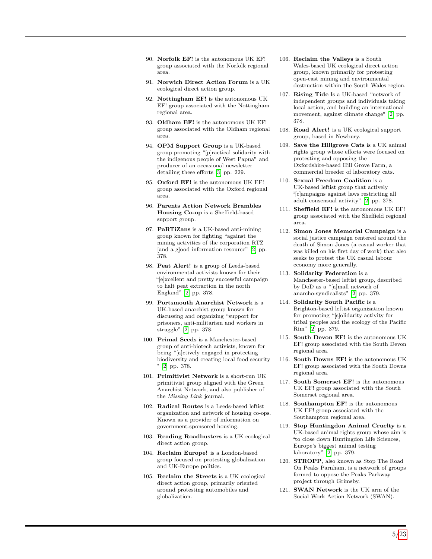- 90. Norfolk EF! is the autonomous UK EF! group associated with the Norfolk regional area.
- 91. Norwich Direct Action Forum is a UK ecological direct action group.
- 92. Nottingham EF! is the autonomous UK EF! group associated with the Nottingham regional area.
- 93. Oldham EF! is the autonomous UK EF! group associated with the Oldham regional area.
- 94. OPM Support Group is a UK-based group promoting "[p]ractical solidarity with the indigenous people of West Papua" and producer of an occasional newsletter detailing these efforts [\[3\]](#page-20-2) pp. 229.
- 95. Oxford EF! is the autonomous UK EF! group associated with the Oxford regional area.
- 96. Parents Action Network Brambles Housing Co-op is a Sheffield-based support group.
- 97. PaRTiZans is a UK-based anti-mining group known for fighting "against the mining activities of the corporation RTZ [and a g]ood information resource" [\[2\]](#page-20-1) pp. 378.
- 98. Peat Alert! is a group of Leeds-based environmental activists known for their "[e]xcellent and pretty successful campaign to halt peat extraction in the north England" [\[2\]](#page-20-1) pp. 378.
- 99. Portsmouth Anarchist Network is a UK-based anarchist group known for discussing and organizing "support for prisoners, anti-militarism and workers in struggle" [\[2\]](#page-20-1) pp. 378.
- 100. Primal Seeds is a Manchester-based group of anti-biotech activists, known for being "[a]ctively engaged in protecting biodiversity and creating local food security " [\[2\]](#page-20-1) pp. 378.
- 101. Primitivist Network is a short-run UK primitivist group aligned with the Green Anarchist Network, and also publisher of the Missing Link journal.
- 102. Radical Routes is a Leeds-based leftist organization and network of housing co-ops. Known as a provider of information on government-sponsored housing.
- 103. Reading Roadbusters is a UK ecological direct action group.
- 104. Reclaim Europe! is a London-based group focused on protesting globalization and UK-Europe politics.
- 105. Reclaim the Streets is a UK ecological direct action group, primarily oriented around protesting automobiles and globalization.
- 106. Reclaim the Valleys is a South Wales-based UK ecological direct action group, known primarily for protesting open-cast mining and environmental destruction within the South Wales region.
- 107. Rising Tide Is a UK-based "network of independent groups and individuals taking local action, and building an international movement, against climate change" [\[2\]](#page-20-1) pp. 378.
- 108. Road Alert! is a UK ecological support group, based in Newbury.
- 109. Save the Hillgrove Cats is a UK animal rights group whose efforts were focused on protesting and opposing the Oxfordshire-based Hill Grove Farm, a commercial breeder of laboratory cats.
- 110. Sexual Freedom Coalition is a UK-based leftist group that actively "[c]ampaigns against laws restricting all adult consensual activity" [\[2\]](#page-20-1) pp. 378.
- 111. Sheffield EF! is the autonomous UK EF! group associated with the Sheffield regional area.
- 112. Simon Jones Memorial Campaign is a social justice campaign centered around the death of Simon Jones (a casual worker that was killed on his first day of work) that also seeks to protest the UK casual labour economy more generally.
- 113. Solidarity Federation is a Manchester-based leftist group, described by DoD as a "[a]mall network of anarcho-syndicalists" [\[2\]](#page-20-1) pp. 379.
- 114. Solidarity South Pacific is a Brighton-based leftist organization known for promoting "[s]olidarity activity for tribal peoples and the ecology of the Pacific Rim" [\[2\]](#page-20-1) pp. 379.
- 115. South Devon EF! is the autonomous UK EF! group associated with the South Devon regional area.
- 116. South Downs EF! is the autonomous UK EF! group associated with the South Downs regional area.
- 117. South Somerset EF! is the autonomous UK EF! group associated with the South Somerset regional area.
- 118. Southampton EF! is the autonomous UK EF! group associated with the Southampton regional area.
- 119. Stop Huntingdon Animal Cruelty is a UK-based animal rights group whose aim is "to close down Huntingdon Life Sciences, Europe's biggest animal testing laboratory" [\[2\]](#page-20-1) pp. 379.
- 120. STROPP, also known as Stop The Road On Peaks Parnham, is a network of groups formed to oppose the Peaks Parkway project through Grimsby.
- 121. SWAN Network is the UK arm of the Social Work Action Network (SWAN).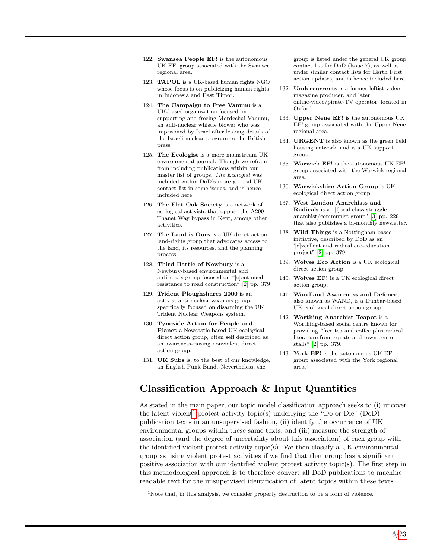- 122. Swansea People EF! is the autonomous UK EF! group associated with the Swansea regional area.
- 123. TAPOL is a UK-based human rights NGO whose focus is on publicizing human rights in Indonesia and East Timor.
- 124. The Campaign to Free Vanunu is a UK-based organization focused on supporting and freeing Mordechai Vanunu, an anti-nuclear whistle blower who was imprisoned by Israel after leaking details of the Israeli nuclear program to the British press.
- 125. The Ecologist is a more mainstream UK environmental journal. Though we refrain from including publications within our master list of groups, The Ecologist was included within DoD's more general UK contact list in some issues, and is hence included here.
- 126. The Flat Oak Society is a network of ecological activists that oppose the A299 Thanet Way bypass in Kent, among other activities.
- 127. The Land is Ours is a UK direct action land-rights group that advocates access to the land, its resources, and the planning process.
- 128. Third Battle of Newbury is a Newbury-based environmental and anti-roads group focused on "[c]ontinued resistance to road construction" [\[2\]](#page-20-1) pp. 379
- 129. Trident Ploughshares 2000 is an activist anti-nuclear weapons group, specifically focused on disarming the UK Trident Nuclear Weapons system.
- 130. Tyneside Action for People and Planet a Newcastle-based UK ecological direct action group, often self described as an awareness-raising nonviolent direct action group.
- 131. UK Subs is, to the best of our knowledge, an English Punk Band. Nevertheless, the

group is listed under the general UK group contact list for DoD (Issue 7), as well as under similar contact lists for Earth First! action updates, and is hence included here.

- 132. Undercurrents is a former leftist video magazine producer, and later online-video/pirate-TV operator, located in Oxford.
- 133. Upper Nene EF! is the autonomous UK EF! group associated with the Upper Nene regional area.
- 134. URGENT is also known as the green field housing network, and is a UK support group.
- 135. Warwick EF! is the autonomous UK EF! group associated with the Warwick regional area.
- 136. Warwickshire Action Group is UK ecological direct action group.
- 137. West London Anarchists and Radicals is a "[l]ocal class struggle anarchist/communist group" [\[3\]](#page-20-2) pp. 229 that also publishes a bi-monthly newsletter.
- 138. Wild Things is a Nottingham-based initiative, described by DoD as an "[e]xcellent and radical eco-education project" [\[2\]](#page-20-1) pp. 379.
- 139. Wolves Eco Action is a UK ecological direct action group.
- 140. Wolves EF! is a UK ecological direct action group.
- 141. Woodland Awareness and Defence, also known as WAND, is a Dunbar-based UK ecological direct action group.
- 142. Worthing Anarchist Teapot is a Worthing-based social centre known for providing "free tea and coffee plus radical literature from squats and town centre stalls" [\[2\]](#page-20-1) pp. 379.
- 143. York EF! is the autonomous UK EF! group associated with the York regional area.

### Classification Approach & Input Quantities

As stated in the main paper, our topic model classification approach seeks to (i) uncover the latent violent<sup>[1](#page-5-0)</sup> protest activity topic(s) underlying the "Do or Die" (DoD) publication texts in an unsupervised fashion, (ii) identify the occurrence of UK environmental groups within these same texts, and (iii) measure the strength of association (and the degree of uncertainty about this association) of each group with the identified violent protest activity topic(s). We then classify a UK environmental group as using violent protest activities if we find that that group has a significant positive association with our identified violent protest activity topic(s). The first step in this methodological approach is to therefore convert all DoD publications to machine readable text for the unsupervised identification of latent topics within these texts.

<span id="page-5-0"></span><sup>&</sup>lt;sup>1</sup>Note that, in this analysis, we consider property destruction to be a form of violence.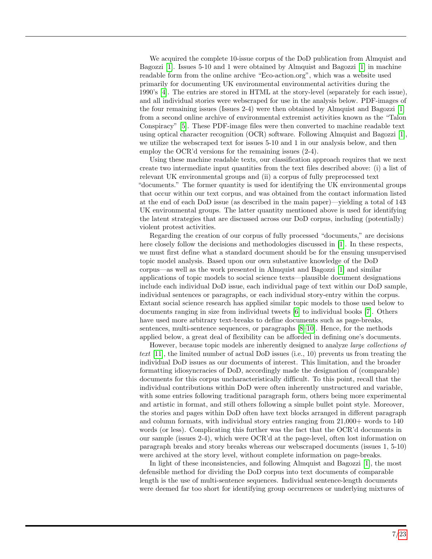We acquired the complete 10-issue corpus of the DoD publication from Almquist and Bagozzi [\[1\]](#page-20-0). Issues 5-10 and 1 were obtained by Almquist and Bagozzi [\[1\]](#page-20-0) in machine readable form from the online archive "Eco-action.org", which was a website used primarily for documenting UK environmental environmental activities during the 1990's [\[4\]](#page-20-3). The entries are stored in HTML at the story-level (separately for each issue), and all individual stories were webscraped for use in the analysis below. PDF-images of the four remaining issues (Issues 2-4) were then obtained by Almquist and Bagozzi [\[1\]](#page-20-0) from a second online archive of environmental extremist activities known as the "Talon Conspiracy" [\[5\]](#page-20-4). These PDF-image files were then converted to machine readable text using optical character recognition (OCR) software. Following Almquist and Bagozzi [\[1\]](#page-20-0), we utilize the webscraped text for issues 5-10 and 1 in our analysis below, and then employ the OCR'd versions for the remaining issues (2-4).

Using these machine readable texts, our classification approach requires that we next create two intermediate input quantities from the text files described above: (i) a list of relevant UK environmental groups and (ii) a corpus of fully preprocessed text "documents." The former quantity is used for identifying the UK environmental groups that occur within our text corpus, and was obtained from the contact information listed at the end of each DoD issue (as described in the main paper)—yielding a total of 143 UK environmental groups. The latter quantity mentioned above is used for identifying the latent strategies that are discussed across our DoD corpus, including (potentially) violent protest activities.

Regarding the creation of our corpus of fully processed "documents," are decisions here closely follow the decisions and methodologies discussed in [\[1\]](#page-20-0). In these respects, we must first define what a standard document should be for the ensuing unsupervised topic model analysis. Based upon our own substantive knowledge of the DoD corpus—as well as the work presented in Almquist and Bagozzi [\[1\]](#page-20-0) and similar applications of topic models to social science texts—plausible document designations include each individual DoD issue, each individual page of text within our DoD sample, individual sentences or paragraphs, or each individual story-entry within the corpus. Extant social science research has applied similar topic models to those used below to documents ranging in size from individual tweets [\[6\]](#page-20-5) to individual books [\[7\]](#page-20-6). Others have used more arbitrary text-breaks to define documents such as page-breaks, sentences, multi-sentence sequences, or paragraphs [\[8–](#page-20-7)[10\]](#page-20-8). Hence, for the methods applied below, a great deal of flexibility can be afforded in defining one's documents.

However, because topic models are inherently designed to analyze large collections of text  $[11]$ , the limited number of actual DoD issues (i.e., 10) prevents us from treating the individual DoD issues as our documents of interest. This limitation, and the broader formatting idiosyncracies of DoD, accordingly made the designation of (comparable) documents for this corpus uncharacteristically difficult. To this point, recall that the individual contributions within DoD were often inherently unstructured and variable, with some entries following traditional paragraph form, others being more experimental and artistic in format, and still others following a simple bullet point style. Moreover, the stories and pages within DoD often have text blocks arranged in different paragraph and column formats, with individual story entries ranging from 21,000+ words to 140 words (or less). Complicating this further was the fact that the OCR'd documents in our sample (issues 2-4), which were OCR'd at the page-level, often lost information on paragraph breaks and story breaks whereas our webscraped documents (issues 1, 5-10) were archived at the story level, without complete information on page-breaks.

In light of these inconsistencies, and following Almquist and Bagozzi [\[1\]](#page-20-0), the most defensible method for dividing the DoD corpus into text documents of comparable length is the use of multi-sentence sequences. Individual sentence-length documents were deemed far too short for identifying group occurrences or underlying mixtures of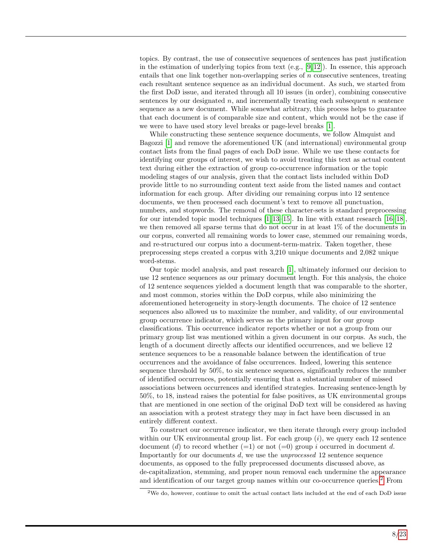topics. By contrast, the use of consecutive sequences of sentences has past justification in the estimation of underlying topics from text  $(e.g., [9, 12])$  $(e.g., [9, 12])$  $(e.g., [9, 12])$  $(e.g., [9, 12])$ . In essence, this approach entails that one link together non-overlapping series of n consecutive sentences, treating each resultant sentence sequence as an individual document. As such, we started from the first DoD issue, and iterated through all 10 issues (in order), combining consecutive sentences by our designated  $n$ , and incrementally treating each subsequent  $n$  sentence sequence as a new document. While somewhat arbitrary, this process helps to guarantee that each document is of comparable size and content, which would not be the case if we were to have used story level breaks or page-level breaks [\[1\]](#page-20-0).

While constructing these sentence sequence documents, we follow Almquist and Bagozzi [\[1\]](#page-20-0) and remove the aforementioned UK (and international) environmental group contact lists from the final pages of each DoD issue. While we use these contacts for identifying our groups of interest, we wish to avoid treating this text as actual content text during either the extraction of group co-occurrence information or the topic modeling stages of our analysis, given that the contact lists included within DoD provide little to no surrounding content text aside from the listed names and contact information for each group. After dividing our remaining corpus into 12 sentence documents, we then processed each document's text to remove all punctuation, numbers, and stopwords. The removal of these character-sets is standard preprocessing for our intended topic model techniques  $[1, 13-15]$  $[1, 13-15]$  $[1, 13-15]$ . In line with extant research  $[16-18]$  $[16-18]$ , we then removed all sparse terms that do not occur in at least 1% of the documents in our corpus, converted all remaining words to lower case, stemmed our remaining words, and re-structured our corpus into a document-term-matrix. Taken together, these preprocessing steps created a corpus with 3,210 unique documents and 2,082 unique word-stems.

Our topic model analysis, and past research [\[1\]](#page-20-0), ultimately informed our decision to use 12 sentence sequences as our primary document length. For this analysis, the choice of 12 sentence sequences yielded a document length that was comparable to the shorter, and most common, stories within the DoD corpus, while also minimizing the aforementioned heterogeneity in story-length documents. The choice of 12 sentence sequences also allowed us to maximize the number, and validity, of our environmental group occurrence indicator, which serves as the primary input for our group classifications. This occurrence indicator reports whether or not a group from our primary group list was mentioned within a given document in our corpus. As such, the length of a document directly affects our identified occurrences, and we believe 12 sentence sequences to be a reasonable balance between the identification of true occurrences and the avoidance of false occurrences. Indeed, lowering this sentence sequence threshold by 50%, to six sentence sequences, significantly reduces the number of identified occurrences, potentially ensuring that a substantial number of missed associations between occurrences and identified strategies. Increasing sentence-length by 50%, to 18, instead raises the potential for false positives, as UK environmental groups that are mentioned in one section of the original DoD text will be considered as having an association with a protest strategy they may in fact have been discussed in an entirely different context.

To construct our occurrence indicator, we then iterate through every group included within our UK environmental group list. For each group  $(i)$ , we query each 12 sentence document (d) to record whether  $(=1)$  or not  $(=0)$  group i occurred in document d. Importantly for our documents d, we use the unprocessed 12 sentence sequence documents, as opposed to the fully preprocessed documents discussed above, as de-capitalization, stemming, and proper noun removal each undermine the appearance and identification of our target group names within our co-occurrence queries.[2](#page-7-0) From

<span id="page-7-0"></span><sup>2</sup>We do, however, continue to omit the actual contact lists included at the end of each DoD issue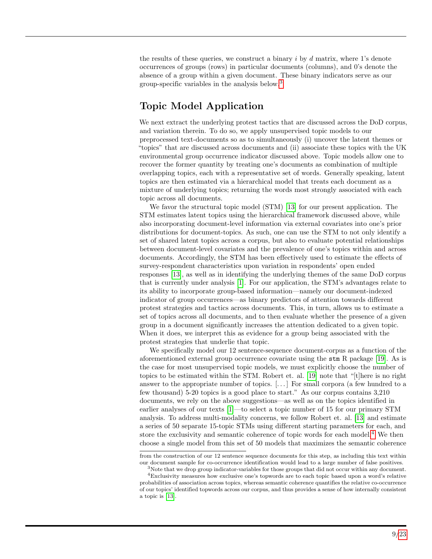the results of these queries, we construct a binary  $i$  by  $d$  matrix, where 1's denote occurrences of groups (rows) in particular documents (columns), and 0's denote the absence of a group within a given document. These binary indicators serve as our group-specific variables in the analysis below.[3](#page-8-0)

# Topic Model Application

We next extract the underlying protest tactics that are discussed across the DoD corpus, and variation therein. To do so, we apply unsupervised topic models to our preprocessed text-documents so as to simultaneously (i) uncover the latent themes or "topics" that are discussed across documents and (ii) associate these topics with the UK environmental group occurrence indicator discussed above. Topic models allow one to recover the former quantity by treating one's documents as combination of multiple overlapping topics, each with a representative set of words. Generally speaking, latent topics are then estimated via a hierarchical model that treats each document as a mixture of underlying topics; returning the words most strongly associated with each topic across all documents.

We favor the structural topic model (STM) [\[13\]](#page-20-12) for our present application. The STM estimates latent topics using the hierarchical framework discussed above, while also incorporating document-level information via external covariates into one's prior distributions for document-topics. As such, one can use the STM to not only identify a set of shared latent topics across a corpus, but also to evaluate potential relationships between document-level covariates and the prevalence of one's topics within and across documents. Accordingly, the STM has been effectively used to estimate the effects of survey-respondent characteristics upon variation in respondents' open ended responses [\[13\]](#page-20-12), as well as in identifying the underlying themes of the same DoD corpus that is currently under analysis [\[1\]](#page-20-0). For our application, the STM's advantages relate to its ability to incorporate group-based information—namely our document-indexed indicator of group occurrences—as binary predictors of attention towards different protest strategies and tactics across documents. This, in turn, allows us to estimate a set of topics across all documents, and to then evaluate whether the presence of a given group in a document significantly increases the attention dedicated to a given topic. When it does, we interpret this as evidence for a group being associated with the protest strategies that underlie that topic.

We specifically model our 12 sentence-sequence document-corpus as a function of the aforementioned external group occurrence covariate using the stm R package [\[19\]](#page-21-2). As is the case for most unsupervised topic models, we must explicitly choose the number of topics to be estimated within the STM. Robert et. al. [\[19\]](#page-21-2) note that "[t]here is no right answer to the appropriate number of topics. [. . . ] For small corpora (a few hundred to a few thousand) 5-20 topics is a good place to start." As our corpus contains 3,210 documents, we rely on the above suggestions—as well as on the topics identified in earlier analyses of our texts [\[1\]](#page-20-0)—to select a topic number of 15 for our primary STM analysis. To address multi-modality concerns, we follow Robert et. al. [\[13\]](#page-20-12) and estimate a series of 50 separate 15-topic STMs using different starting parameters for each, and store the exclusivity and semantic coherence of topic words for each model.<sup>[4](#page-8-1)</sup> We then choose a single model from this set of 50 models that maximizes the semantic coherence

from the construction of our 12 sentence sequence documents for this step, as including this text within our document sample for co-occurrence identification would lead to a large number of false positives.

<span id="page-8-1"></span><span id="page-8-0"></span><sup>3</sup>Note that we drop group indicator-variables for those groups that did not occur within any document.

<sup>4</sup>Exclusivity measures how exclusive one's topwords are to each topic based upon a word's relative probabilities of association across topics, whereas semantic coherence quantifies the relative co-occurrence of our topics' identified topwords across our corpus, and thus provides a sense of how internally consistent a topic is [\[13\]](#page-20-12).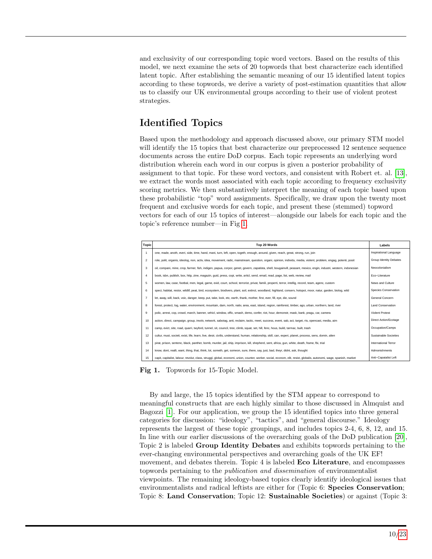and exclusivity of our corresponding topic word vectors. Based on the results of this model, we next examine the sets of 20 topwords that best characterize each identified latent topic. After establishing the semantic meaning of our 15 identified latent topics according to these topwords, we derive a variety of post-estimation quantities that allow us to classify our UK environmental groups according to their use of violent protest strategies.

## Identified Topics

Based upon the methodology and approach discussed above, our primary STM model will identify the 15 topics that best characterize our preprocessed 12 sentence sequence documents across the entire DoD corpus. Each topic represents an underlying word distribution wherein each word in our corpus is given a posterior probability of assignment to that topic. For these word vectors, and consistent with Robert et. al. [\[13\]](#page-20-12), we extract the words most associated with each topic according to frequency exclusivity scoring metrics. We then substantively interpret the meaning of each topic based upon these probabilistic "top" word assignments. Specifically, we draw upon the twenty most frequent and exclusive words for each topic, and present these (stemmed) topword vectors for each of our 15 topics of interest—alongside our labels for each topic and the topic's reference number—in Fig [1.](#page-9-0)

<span id="page-9-0"></span>

| <b>Topic</b>   | Top 20 Words                                                                                                                                                         | Labels                   |
|----------------|----------------------------------------------------------------------------------------------------------------------------------------------------------------------|--------------------------|
| $\overline{1}$ | one, made, anoth, everi, side, time, hand, mani, turn, left, open, togeth, enough, around, given, reach, great, strong, run, join                                    | Inspirational Language   |
| $\overline{2}$ | role, polit, organis, ideolog, non, activ, idea, movement, radic, mainstream, question, organi, opinion, individu, media, violent, problem, engag, potenti, posit    | Group Identity Debates   |
| 3              | oil, compani, mine, crop, farmer, fish, indigen, papua, corpor, genet, govern, zapatista, shell, bougainvill, peasant, mexico, engin, industri, western, indonesian  | Neocolonialism           |
| $\overline{4}$ | book, isbn, publish, box, http, zine, magazin, guid, press, copi, write, articl, send, email, read, page, list, web, review, mail                                    | Eco-Literature           |
| 5              | women, law, case, footbal, men, legal, game, evid, court, school, terrorist, privat, famili, properti, terror, intellig, record, team, agenc, custom                 | News and Culture         |
| 6              | speci, habitat, restor, wildlif, peat, bird, ecosystem, biodivers, plant, soil, extinct, woodland, highland, conserv, hotspot, moor, natur, garden, biolog, wild     | Species Conservation     |
| $\overline{7}$ | let, away, will, back, voic, danger, keep, put, take, look, etc, earth, thank, mother, first, ever, fill, eye, die, sound                                            | General Concern          |
| 8              | forest, protect, log, water, environment, mountain, dam, north, nativ, area, east, island, region, rainforest, timber, ago, urban, northern, land, river             | <b>Land Conservation</b> |
| 9              | polic, arrest, cop, crowd, march, banner, vehicl, window, offic, smash, demo, confer, riot, hour, demonstr, mask, bank, pragu, car, camera                           | Violent Protest          |
| 10             | action, direct, campaign, group, involv, network, sabotag, anti, reclaim, tactic, meet, success, event, sab, act, target, rts, opencast, media, aim                  | Direct Action/Ecotage    |
| 11             | camp, evict, site, road, quarri, twyford, tunnel, sit, council, tree, climb, squat, set, hill, fenc, hous, build, tarmac, built, trash                               | Occupation/Camps         |
| 12             | cultur, must, societi, exist, life, learn, live, desir, civilis, understand, human, relationship, skill, can, experi, planet, process, sens, domin, alien            | Sustainable Societies    |
| 13             | pirat, prison, sentenc, black, panther, bomb, murder, jail, ship, imprison, kill, shepherd, sent, africa, gun, white, death, frame, fbi, trial                       | International Terror     |
| 14             | know, dont, realli, want, thing, that, think, lot, someth, get, someon, sure, there, say, just, bad, theyr, didnt, ask, thought                                      | Admonishments            |
| 15             | capit, capitalist, labour, revolut, class, struggl, global, economi, union, counter, worker, social, econom, elit, resist, globalis, autonomi, wage, spanish, market | Anti-Capatalist Left     |

Fig 1. Topwords for 15-Topic Model.

By and large, the 15 topics identified by the STM appear to correspond to meaningful constructs that are each highly similar to those discussed in Almquist and Bagozzi [\[1\]](#page-20-0). For our application, we group the 15 identified topics into three general categories for discussion: "ideology", "tactics", and "general discourse." Ideology represents the largest of these topic groupings, and includes topics 2-4, 6, 8, 12, and 15. In line with our earlier discussions of the overarching goals of the DoD publication [\[20\]](#page-21-3), Topic 2 is labeled Group Identity Debates and exhibits topwords pertaining to the ever-changing environmental perspectives and overarching goals of the UK EF! movement, and debates therein. Topic 4 is labeled **Eco Literature**, and encompasses topwords pertaining to the publication and dissemination of environmentalist viewpoints. The remaining ideology-based topics clearly identify ideological issues that environmentalists and radical leftists are either for (Topic 6: Species Conservation; Topic 8: Land Conservation; Topic 12: Sustainable Societies) or against (Topic 3: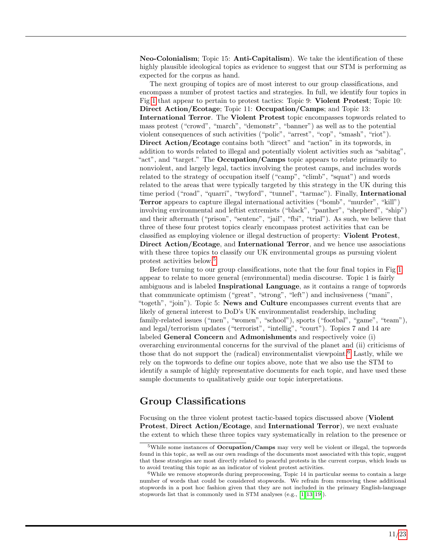Neo-Colonialism; Topic 15: Anti-Capitalism). We take the identification of these highly plausible ideological topics as evidence to suggest that our STM is performing as expected for the corpus as hand.

The next grouping of topics are of most interest to our group classifications, and encompass a number of protest tactics and strategies. In full, we identify four topics in Fig [1](#page-9-0) that appear to pertain to protest tactics: Topic 9: Violent Protest; Topic 10: Direct Action/Ecotage; Topic 11: Occupation/Camps; and Topic 13: International Terror. The Violent Protest topic encompasses topwords related to mass protest ("crowd", "march", "demonstr", "banner") as well as to the potential violent consequences of such activities ("polic", "arrest", "cop", "smash", "riot"). Direct Action/Ecotage contains both "direct" and "action" in its topwords, in addition to words related to illegal and potentially violent activities such as "sabitag", "act", and "target." The Occupation/Camps topic appears to relate primarily to nonviolent, and largely legal, tactics involving the protest camps, and includes words related to the strategy of occupation itself ("camp", "climb", "squat") and words related to the areas that were typically targeted by this strategy in the UK during this time period ("road", "quarri", "twyford", "tunnel", "tarmac"). Finally, International Terror appears to capture illegal international activities ("bomb", "murder", "kill") involving environmental and leftist extremists ("black", "panther", "shepherd", "ship") and their aftermath ("prison", "sentenc", "jail", "fbi", "trial"). As such, we believe that three of these four protest topics clearly encompass protest activities that can be classified as employing violence or illegal destruction of property: Violent Protest, Direct Action/Ecotage, and International Terror, and we hence use associations with these three topics to classify our UK environmental groups as pursuing violent protest activities below.[5](#page-10-0)

Before turning to our group classifications, note that the four final topics in Fig [1](#page-9-0) appear to relate to more general (environmental) media discourse. Topic 1 is fairly ambiguous and is labeled Inspirational Language, as it contains a range of topwords that communicate optimism ("great", "strong", "left") and inclusiveness ("mani", "togeth", "join"). Topic 5: News and Culture encompasses current events that are likely of general interest to DoD's UK environmentalist readership, including family-related issues ("men", "women", "school"), sports ("footbal", "game", "team"), and legal/terrorism updates ("terrorist", "intellig", "court"). Topics 7 and 14 are labeled General Concern and Admonishments and respectively voice (i) overarching environmental concerns for the survival of the planet and (ii) criticisms of those that do not support the (radical) environmentalist viewpoint.<sup>[6](#page-10-1)</sup> Lastly, while we rely on the topwords to define our topics above, note that we also use the STM to identify a sample of highly representative documents for each topic, and have used these sample documents to qualitatively guide our topic interpretations.

### Group Classifications

Focusing on the three violent protest tactic-based topics discussed above (Violent Protest, Direct Action/Ecotage, and International Terror), we next evaluate the extent to which these three topics vary systematically in relation to the presence or

<span id="page-10-0"></span><sup>&</sup>lt;sup>5</sup>While some instances of **Occupation/Camps** may very well be violent or illegal, the topwords found in this topic, as well as our own readings of the documents most associated with this topic, suggest that these strategies are most directly related to peaceful protests in the current corpus, which leads us to avoid treating this topic as an indicator of violent protest activities.

<span id="page-10-1"></span> $6$ While we remove stopwords during preprocessing, Topic 14 in particular seems to contain a large number of words that could be considered stopwords. We refrain from removing these additional stopwords in a post hoc fashion given that they are not included in the primary English-language stopwords list that is commonly used in STM analyses (e.g., [\[1,](#page-20-0) [13,](#page-20-12) [19\]](#page-21-2)).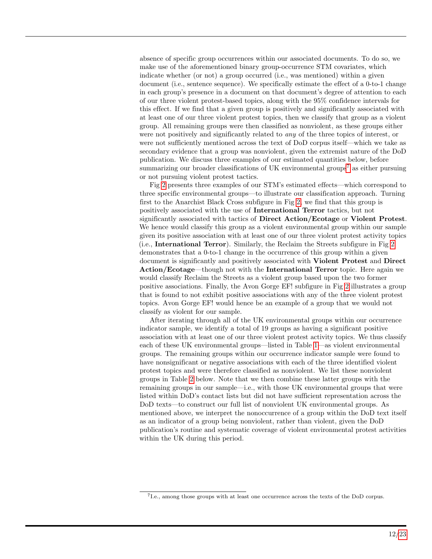absence of specific group occurrences within our associated documents. To do so, we make use of the aforementioned binary group-occurrence STM covariates, which indicate whether (or not) a group occurred (i.e., was mentioned) within a given document (i.e., sentence sequence). We specifically estimate the effect of a 0-to-1 change in each group's presence in a document on that document's degree of attention to each of our three violent protest-based topics, along with the 95% confidence intervals for this effect. If we find that a given group is positively and significantly associated with at least one of our three violent protest topics, then we classify that group as a violent group. All remaining groups were then classified as nonviolent, as these groups either were not positively and significantly related to *any* of the three topics of interest, or were not sufficiently mentioned across the text of DoD corpus itself—which we take as secondary evidence that a group was nonviolent, given the extremist nature of the DoD publication. We discuss three examples of our estimated quantities below, before summarizing our broader classifications of UK environmental groups<sup>[7](#page-11-0)</sup> as either pursuing or not pursuing violent protest tactics.

Fig [2](#page-12-0) presents three examples of our STM's estimated effects—which correspond to three specific environmental groups—to illustrate our classification approach. Turning first to the Anarchist Black Cross subfigure in Fig [2,](#page-12-0) we find that this group is positively associated with the use of International Terror tactics, but not significantly associated with tactics of Direct Action/Ecotage or Violent Protest. We hence would classify this group as a violent environmental group within our sample given its positive association with at least one of our three violent protest activity topics (i.e., International Terror). Similarly, the Reclaim the Streets subfigure in Fig [2](#page-12-0) demonstrates that a 0-to-1 change in the occurrence of this group within a given document is significantly and positively associated with Violent Protest and Direct Action/Ecotage—though not with the International Terror topic. Here again we would classify Reclaim the Streets as a violent group based upon the two former positive associations. Finally, the Avon Gorge EF! subfigure in Fig [2](#page-12-0) illustrates a group that is found to not exhibit positive associations with any of the three violent protest topics. Avon Gorge EF! would hence be an example of a group that we would not classify as violent for our sample.

After iterating through all of the UK environmental groups within our occurrence indicator sample, we identify a total of 19 groups as having a significant positive association with at least one of our three violent protest activity topics. We thus classify each of these UK environmental groups—listed in Table [1—](#page-13-0)as violent environmental groups. The remaining groups within our occurrence indicator sample were found to have nonsignificant or negative associations with each of the three identified violent protest topics and were therefore classified as nonviolent. We list these nonviolent groups in Table [2](#page-14-0) below. Note that we then combine these latter groups with the remaining groups in our sample—i.e., with those UK environmental groups that were listed within DoD's contact lists but did not have sufficient representation across the DoD texts—to construct our full list of nonviolent UK environmental groups. As mentioned above, we interpret the nonoccurrence of a group within the DoD text itself as an indicator of a group being nonviolent, rather than violent, given the DoD publication's routine and systematic coverage of violent environmental protest activities within the UK during this period.

<span id="page-11-0"></span><sup>7</sup> I.e., among those groups with at least one occurrence across the texts of the DoD corpus.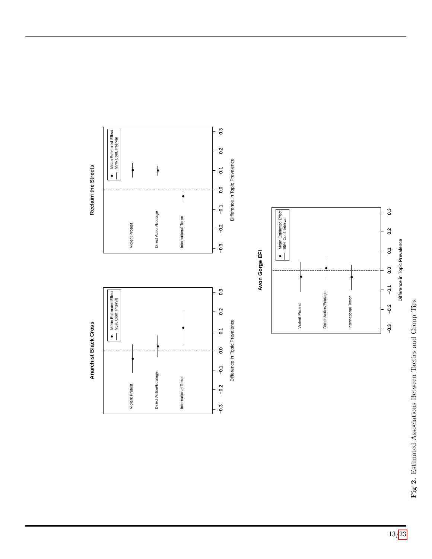



 $0.\overline{3}$ 

<span id="page-12-0"></span>

Reclaim the Streets **Reclaim the Streets**

13[/23](#page-22-0)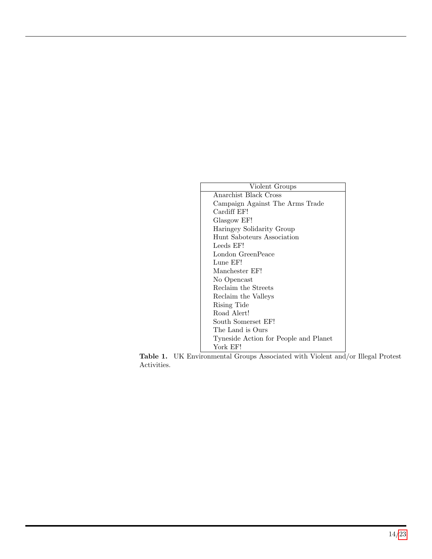<span id="page-13-0"></span>

| Violent Groups                        |
|---------------------------------------|
| Anarchist Black Cross                 |
| Campaign Against The Arms Trade       |
| Cardiff EF!                           |
| Glasgow EF!                           |
| Haringey Solidarity Group             |
| Hunt Saboteurs Association            |
| Leeds EF!                             |
| London GreenPeace                     |
| Lune EF!                              |
| Manchester EF!                        |
| No Opencast                           |
| Reclaim the Streets                   |
| Reclaim the Valleys                   |
| Rising Tide                           |
| Road Alert!                           |
| South Somerset EF!                    |
| The Land is Ours                      |
| Tyneside Action for People and Planet |
| York EF!                              |

Table 1. UK Environmental Groups Associated with Violent and/or Illegal Protest Activities.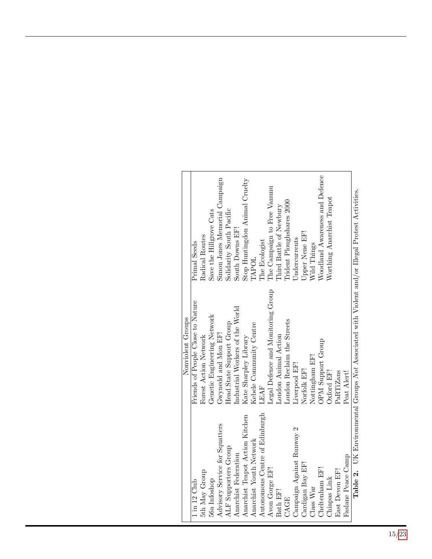<span id="page-14-0"></span>

|                                 | Nonviolent Groups                                                                                      |                                |
|---------------------------------|--------------------------------------------------------------------------------------------------------|--------------------------------|
| $1 \text{ in } 12 \text{ Club}$ | Friends of People Close to Nature                                                                      | Primal Seeds                   |
| 5th May Group                   | Forest Action Network                                                                                  | Radical Routes                 |
| 56a Infoshop                    | Genetic Engineering Network                                                                            | Save the Hillgrove Cats        |
| Advisory Service for Squatters  | Gwynedd and Mon EF!                                                                                    | Simon Jones Memorial Campaign  |
| ALF Supporters Group            | Head State Support Group                                                                               | Solidarity South Pacific       |
| Anarchist Federation            | Industrial Workers of the World                                                                        | South Downs EF!                |
| Anarchist Teapot Action Kitchen | Kate Sharpley Library                                                                                  | Stop Huntingdon Animal Cruelty |
| Anarchist Youth Network         | Kebele Community Centre                                                                                | TAPOL                          |
| Autonomous Centre of Edinburgh  | LEAF                                                                                                   | The Ecologist                  |
| Avon Gorge EF!                  | Legal Defence and Monitoring Group                                                                     | The Campaign to Free Vanunu    |
| Bath EF!                        | London Animal Action                                                                                   | Third Battle of Newbury        |
| CAGE                            | London Reclaim the Streets                                                                             | Trident Ploughshares 2000      |
| Campaign Against Runway 2       | Liverpool EF!                                                                                          | Undercurrents                  |
| Cardigan Bay EF!                | Norfolk EF!                                                                                            | Upper Nene EF!                 |
| Class War                       | Nottingham EF!                                                                                         | Wild Things                    |
| Cheltenham EF!                  | OPM Support Group                                                                                      | Woodland Awareness and Defence |
| Chiapas Link                    | Oxford EF!                                                                                             | Worthing Anarchist Teapot      |
| East Devon EF!                  | PaRTiZans                                                                                              |                                |
| Faslane Peace Camp              | Peat Alert!                                                                                            |                                |
|                                 | <b>Table 2.</b> UK Environmental Groups Not Associated with Violent and/or Illegal Protest Activities. |                                |

Table 2. UK Environmental Groups Not Associated with Violent and/or Illegal Protest Activities. Ŏ.  $\mathbb{R}^+$ Ž,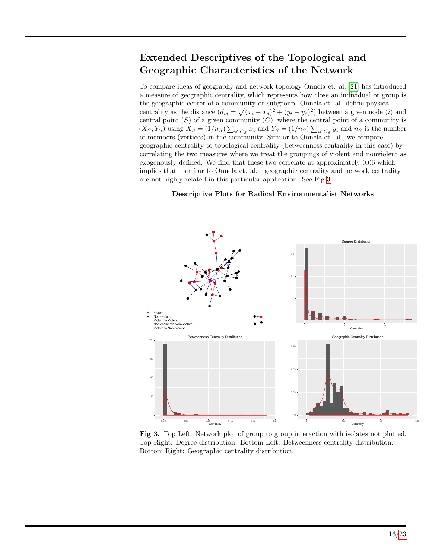# Extended Descriptives of the Topological and Geographic Characteristics of the Network

To compare ideas of geography and network topology Onnela et. al. [\[21\]](#page-21-4) has introduced a measure of geographic centrality, which represents how close an individual or group is the geographic center of a community or subgroup. Onnela et. al. define physical centrality as the distance  $(d_{ij} = \sqrt{(x_i - x_j)^2 + (y_i - y_j)^2})$  between a given node (i) and central point  $(S)$  of a given community  $(C)$ , where the central point of a community is  $(X_S, Y_S)$  using  $X_S = (1/n_S) \sum_{i \in C_S} x_i$  and  $Y_S = (1/n_S) \sum_{i \in C_S} y_i$  and  $n_S$  is the number of members (vertices) in the community. Similar to Onnela et. al., we compare geographic centrality to topological centrality (betweenness centrality in this case) by correlating the two measures where we treat the groupings of violent and nonviolent as exogenously defined. We find that these two correlate at approximately 0.06 which implies that—similar to Onnela et. al.—geographic centrality and network centrality are not highly related in this particular application. See Fig [3.](#page-15-0)

#### <span id="page-15-0"></span>Descriptive Plots for Radical Environmentalist Networks



Fig 3. Top Left: Network plot of group to group interaction with isolates not plotted. Top Right: Degree distribution. Bottom Left: Betweenness centrality distribution. Bottom Right: Geographic centrality distribution.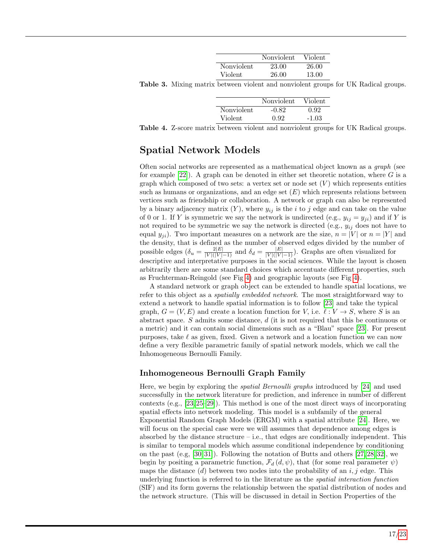|            | Nonviolent | Violent |
|------------|------------|---------|
| Nonviolent | 23.00      | 26.00   |
| Violent    | 26.00      | 13.00   |

Table 3. Mixing matrix between violent and nonviolent groups for UK Radical groups.

|            | Nonviolent | Violent |
|------------|------------|---------|
| Nonviolent | $-0.82$    | 0.92    |
| Violent    | 0.92       | $-1.03$ |

Table 4. Z-score matrix between violent and nonviolent groups for UK Radical groups.

## Spatial Network Models

Often social networks are represented as a mathematical object known as a graph (see for example  $[22]$ . A graph can be denoted in either set theoretic notation, where G is a graph which composed of two sets: a vertex set or node set  $(V)$  which represents entities such as humans or organizations, and an edge set  $(E)$  which represents relations between vertices such as friendship or collaboration. A network or graph can also be represented by a binary adjacency matrix  $(Y)$ , where  $y_{ij}$  is the i to j edge and can take on the value of 0 or 1. If Y is symmetric we say the network is undirected (e.g.,  $y_{ij} = y_{ji}$ ) and if Y is not required to be symmetric we say the network is directed (e.g.,  $y_{ij}$  does not have to equal  $y_{ji}$ ). Two important measures on a network are the size,  $n = |V|$  or  $n = |Y|$  and the density, that is defined as the number of observed edges divided by the number of possible edges  $\left(\delta_u = \frac{2|E|}{|V|(|V|-1)}\right)$  and  $\delta_d = \frac{|E|}{|V|(|V|-1)}$ . Graphs are often visualized for descriptive and interpretative purposes in the social sciences. While the layout is chosen arbitrarily there are some standard choices which accentuate different properties, such as Fruchterman-Reingold (see Fig [4\)](#page-18-0) and geographic layouts (see Fig [4\)](#page-18-0).

A standard network or graph object can be extended to handle spatial locations, we refer to this object as a *spatially embedded network*. The most straightforward way to extend a network to handle spatial information is to follow [\[23\]](#page-21-6) and take the typical graph,  $G = (V, E)$  and create a location function for V, i.e.  $\ell : V \to S$ , where S is an abstract space. S admits some distance,  $d$  (it is not required that this be continuous or a metric) and it can contain social dimensions such as a "Blau" space [\[23\]](#page-21-6). For present purposes, take  $\ell$  as given, fixed. Given a network and a location function we can now define a very flexible parametric family of spatial network models, which we call the Inhomogeneous Bernoulli Family.

### Inhomogeneous Bernoulli Graph Family

Here, we begin by exploring the spatial Bernoulli graphs introduced by [\[24\]](#page-21-7) and used successfully in the network literature for prediction, and inference in number of different contexts (e.g., [\[23,](#page-21-6) [25–](#page-21-8)[29\]](#page-21-9)). This method is one of the most direct ways of incorporating spatial effects into network modeling. This model is a subfamily of the general Exponential Random Graph Models (ERGM) with a spatial attribute [\[24\]](#page-21-7). Here, we will focus on the special case were we will assumes that dependence among edges is absorbed by the distance structure  $-$  i.e., that edges are conditionally independent. This is similar to temporal models which assume conditional independence by conditioning on the past  $(e.g., [30, 31])$  $(e.g., [30, 31])$  $(e.g., [30, 31])$  $(e.g., [30, 31])$ . Following the notation of Butts and others [\[27,](#page-21-12) [28,](#page-21-13) [32\]](#page-22-1), we begin by positing a parametric function,  $\mathcal{F}_d(d, \psi)$ , that (for some real parameter  $\psi$ ) maps the distance  $(d)$  between two nodes into the probability of an i, j edge. This underlying function is referred to in the literature as the spatial interaction function (SIF) and its form governs the relationship between the spatial distribution of nodes and the network structure. (This will be discussed in detail in Section Properties of the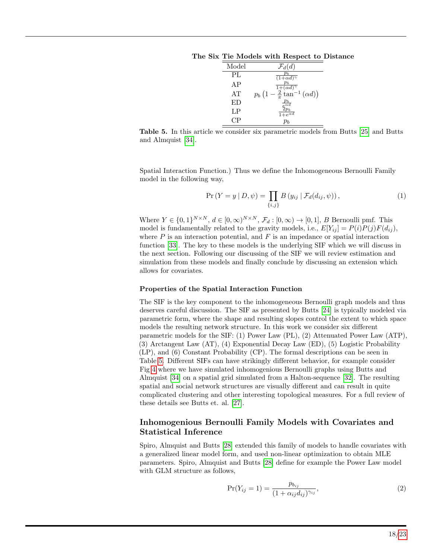<span id="page-17-0"></span>The Six Tie Models with Respect to Distance

| Model | $\mathcal{F}_d(d)$                                                               |
|-------|----------------------------------------------------------------------------------|
| PL    | $\frac{\overline{p_b}}{(1+\alpha d)^{\gamma}}$                                   |
| AP    | $-\frac{\frac{p_b}{1+(\alpha d)^\gamma}}{\frac{2}{\pi}\tan^{-1}(\alpha d)\big)}$ |
| AT    | $p_b(1)$                                                                         |
| ΕD    | $\frac{p_b}{e^{\alpha d}}$                                                       |
| LP    | $\overline{1+e^{\alpha d}}$                                                      |
| CР    |                                                                                  |

Table 5. In this article we consider six parametric models from Butts [\[25\]](#page-21-8) and Butts and Almquist [\[34\]](#page-22-2).

Spatial Interaction Function.) Thus we define the Inhomogeneous Bernoulli Family model in the following way,

$$
\Pr(Y = y | D, \psi) = \prod_{\{i,j\}} B(y_{ij} | \mathcal{F}_d(d_{ij}, \psi)), \tag{1}
$$

Where  $Y \in \{0,1\}^{N \times N}$ ,  $d \in [0,\infty)^{N \times N}$ ,  $\mathcal{F}_d : [0,\infty) \to [0,1]$ , B Bernoulli pmf. This model is fundamentally related to the gravity models, i.e.,  $E[Y_{ij}] = P(i)P(j)F(d_{ij}),$ where  $P$  is an interaction potential, and  $F$  is an impedance or spatial interaction function [\[33\]](#page-22-3). The key to these models is the underlying SIF which we will discuss in the next section. Following our discussing of the SIF we will review estimation and simulation from these models and finally conclude by discussing an extension which allows for covariates.

#### Properties of the Spatial Interaction Function

The SIF is the key component to the inhomogeneous Bernoulli graph models and thus deserves careful discussion. The SIF as presented by Butts [\[24\]](#page-21-7) is typically modeled via parametric form, where the shape and resulting slopes control the extent to which space models the resulting network structure. In this work we consider six different parametric models for the SIF: (1) Power Law (PL), (2) Attenuated Power Law (ATP), (3) Arctangent Law (AT), (4) Exponential Decay Law (ED), (5) Logistic Probability (LP), and (6) Constant Probability (CP). The formal descriptions can be seen in Table [5.](#page-17-0) Different SIFs can have strikingly different behavior, for example consider Fig [4](#page-18-0) where we have simulated inhomogenious Bernoulli graphs using Butts and Almquist [\[34\]](#page-22-2) on a spatial grid simulated from a Halton-sequence [\[32\]](#page-22-1). The resulting spatial and social network structures are visually different and can result in quite complicated clustering and other interesting topological measures. For a full review of these details see Butts et. al. [\[27\]](#page-21-12).

### Inhomogenious Bernoulli Family Models with Covariates and Statistical Inference

Spiro, Almquist and Butts [\[28\]](#page-21-13) extended this family of models to handle covariates with a generalized linear model form, and used non-linear optimization to obtain MLE parameters. Spiro, Almquist and Butts [\[28\]](#page-21-13) define for example the Power Law model with GLM structure as follows,

$$
Pr(Y_{ij} = 1) = \frac{p_{b_{ij}}}{(1 + \alpha_{ij} d_{ij})^{\gamma_{ij}}},
$$
\n(2)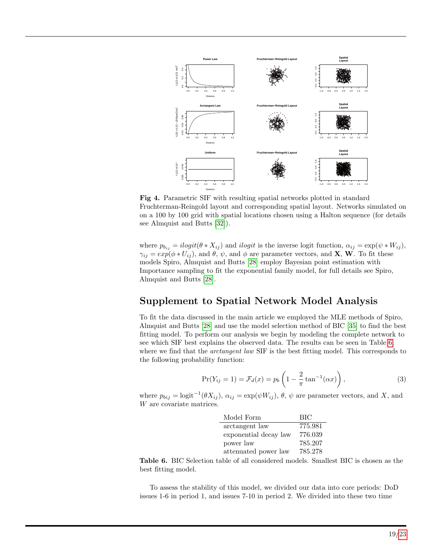<span id="page-18-0"></span>

Fig 4. Parametric SIF with resulting spatial networks plotted in standard Fruchterman-Reingold layout and corresponding spatial layout. Networks simulated on on a 100 by 100 grid with spatial locations chosen using a Halton sequence (for details see Almquist and Butts [\[32\]](#page-22-1)).

where  $p_{b_{ij}} = ilogit(\theta * X_{ij})$  and ilogit is the inverse logit function,  $\alpha_{ij} = \exp(\psi * W_{ij}),$  $\gamma_{ij} = exp(\phi * U_{ij}),$  and  $\theta$ ,  $\psi$ , and  $\phi$  are parameter vectors, and **X**, **W**. To fit these models Spiro, Almquist and Butts [\[28\]](#page-21-13) employ Bayesian point estimation with Importance sampling to fit the exponential family model, for full details see Spiro, Almquist and Butts [\[28\]](#page-21-13).

### Supplement to Spatial Network Model Analysis

To fit the data discussed in the main article we employed the MLE methods of Spiro, Almquist and Butts [\[28\]](#page-21-13) and use the model selection method of BIC [\[35\]](#page-22-4) to find the best fitting model. To perform our analysis we begin by modeling the complete network to see which SIF best explains the observed data. The results can be seen in Table [6,](#page-18-1) where we find that the *arctangent law* SIF is the best fitting model. This corresponds to the following probability function:

$$
\Pr(Y_{ij} = 1) = \mathcal{F}_d(x) = p_b \left( 1 - \frac{2}{\pi} \tan^{-1}(\alpha x) \right),\tag{3}
$$

<span id="page-18-1"></span>where  $p_{bij} = \text{logit}^{-1}(\theta X_{ij}), \alpha_{ij} = \exp(\psi W_{ij}), \theta, \psi$  are parameter vectors, and X, and W are covariate matrices.

| Model Form            | <b>BIC</b> |
|-----------------------|------------|
| arctangent law        | 775.981    |
| exponential decay law | 776.039    |
| power law             | 785.207    |
| attenuated power law  | 785.278    |

Table 6. BIC Selection table of all considered models. Smallest BIC is chosen as the best fitting model.

To assess the stability of this model, we divided our data into core periods: DoD issues 1-6 in period 1, and issues 7-10 in period 2. We divided into these two time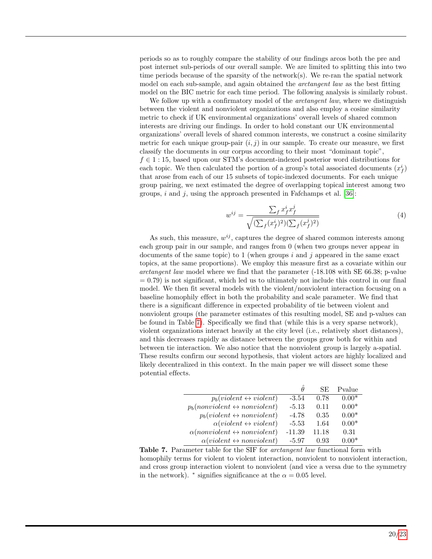periods so as to roughly compare the stability of our findings arcos both the pre and post internet sub-periods of our overall sample. We are limited to splitting this into two time periods because of the sparsity of the network(s). We re-ran the spatial network model on each sub-sample, and again obtained the *arctangent law* as the best fitting model on the BIC metric for each time period. The following analysis is similarly robust.

We follow up with a confirmatory model of the *arctangent law*, where we distinguish between the violent and nonviolent organizations and also employ a cosine similarity metric to check if UK environmental organizations' overall levels of shared common interests are driving our findings. In order to hold constant our UK environmental organizations' overall levels of shared common interests, we construct a cosine similarity metric for each unique group-pair  $(i, j)$  in our sample. To create our measure, we first classify the documents in our corpus according to their most "dominant topic",  $f \in 1:15$ , based upon our STM's document-indexed posterior word distributions for each topic. We then calculated the portion of a group's total associated documents  $(x_f^i)$ that arose from each of our 15 subsets of topic-indexed documents. For each unique group pairing, we next estimated the degree of overlapping topical interest among two groups,  $i$  and  $j$ , using the approach presented in Fafchamps et al. [\[36\]](#page-22-5):

$$
w^{ij} = \frac{\sum_{f} x_f^i x_f^j}{\sqrt{(\sum_{f} (x_f^i)^2)(\sum_{f} (x_f^j)^2)}}
$$
(4)

As such, this measure,  $w^{ij}$ , captures the degree of shared common interests among each group pair in our sample, and ranges from 0 (when two groups never appear in documents of the same topic) to 1 (when groups i and j appeared in the same exact topics, at the same proportions). We employ this measure first as a covariate within our arctangent law model where we find that the parameter (-18.108 with SE 66.38; p-value  $= 0.79$ ) is not significant, which led us to ultimately not include this control in our final model. We then fit several models with the violent/nonviolent interaction focusing on a baseline homophily effect in both the probability and scale parameter. We find that there is a significant difference in expected probability of tie between violent and nonviolent groups (the parameter estimates of this resulting model, SE and p-values can be found in Table [7\)](#page-19-0). Specifically we find that (while this is a very sparse network), violent organizations interact heavily at the city level (i.e., relatively short distances), and this decreases rapidly as distance between the groups grow both for within and between tie interaction. We also notice that the nonviolent group is largely a-spatial. These results confirm our second hypothesis, that violent actors are highly localized and likely decentralized in this context. In the main paper we will dissect some these potential effects.

<span id="page-19-0"></span>

|                                                    | $\theta$ | SE.   | Pvalue  |
|----------------------------------------------------|----------|-------|---------|
| $p_b(violet \leftrightarrow violent)$              | $-3.54$  | 0.78  | $0.00*$ |
| $p_b(nonviolent \leftrightarrow nonviolent)$       | $-5.13$  | 0.11  | $0.00*$ |
| $p_b(violet \leftrightarrow nonviolet)$            | $-4.78$  | 0.35  | $0.00*$ |
| $\alpha(violet \leftrightarrow violent)$           | $-5.53$  | 1.64  | $0.00*$ |
| $\alpha$ (nonviolent $\leftrightarrow$ nonviolent) | $-11.39$ | 11.18 | 0.31    |
| $\alpha(violet \leftrightarrow nonviolet)$         | $-5.97$  | 0.93  | $0.00*$ |

Table 7. Parameter table for the SIF for *arctangent law* functional form with homophily terms for violent to violent interaction, nonviolent to nonviolent interaction, and cross group interaction violent to nonviolent (and vice a versa due to the symmetry in the network).  $*$  signifies significance at the  $\alpha = 0.05$  level.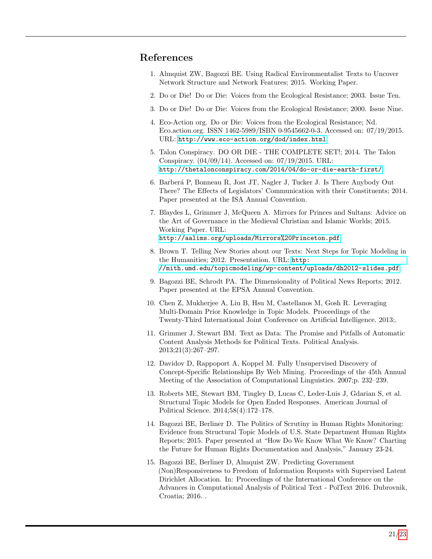### References

- <span id="page-20-0"></span>1. Almquist ZW, Bagozzi BE. Using Radical Environmentalist Texts to Uncover Network Structure and Network Features; 2015. Working Paper.
- <span id="page-20-1"></span>2. Do or Die! Do or Die: Voices from the Ecological Resistance; 2003. Issue Ten.
- <span id="page-20-2"></span>3. Do or Die! Do or Die: Voices from the Ecological Resistance; 2000. Issue Nine.
- <span id="page-20-3"></span>4. Eco-Action org. Do or Die: Voices from the Ecological Resistance; Nd. Eco.action.org. ISSN 1462-5989/ISBN 0-9545662-0-3. Accessed on: 07/19/2015. URL: <http://www.eco-action.org/dod/index.html>.
- <span id="page-20-4"></span>5. Talon Conspiracy. DO OR DIE - THE COMPLETE SET!; 2014. The Talon Conspiracy. (04/09/14). Accessed on: 07/19/2015. URL: <http://thetalonconspiracy.com/2014/04/do-or-die-earth-first/>.
- <span id="page-20-5"></span>6. Barber´a P, Bonneau R, Jost JT, Nagler J, Tucker J. Is There Anybody Out There? The Effects of Legislators' Communication with their Constituents; 2014. Paper presented at the ISA Annual Convention.
- <span id="page-20-6"></span>7. Blaydes L, Grimmer J, McQueen A. Mirrors for Princes and Sultans: Advice on the Art of Governance in the Medieval Christian and Islamic Worlds; 2015. Working Paper. URL: <http://aalims.org/uploads/Mirrors%20Princeton.pdf>.
- <span id="page-20-7"></span>8. Brown T. Telling New Stories about our Texts: Next Steps for Topic Modeling in the Humanities; 2012. Presentation. URL: [http:](http://mith.umd.edu/topicmodeling/wp-content/uploads/dh2012-slides.pdf) [//mith.umd.edu/topicmodeling/wp-content/uploads/dh2012-slides.pdf](http://mith.umd.edu/topicmodeling/wp-content/uploads/dh2012-slides.pdf).
- <span id="page-20-10"></span>9. Bagozzi BE, Schrodt PA. The Dimensionality of Political News Reports; 2012. Paper presented at the EPSA Annual Convention.
- <span id="page-20-8"></span>10. Chen Z, Mukherjee A, Liu B, Hsu M, Castellanos M, Gosh R. Leveraging Multi-Domain Prior Knowledge in Topic Models. Proceedings of the Twenty-Third International Joint Conference on Artificial Intelligence. 2013;.
- <span id="page-20-9"></span>11. Grimmer J, Stewart BM. Text as Data: The Promise and Pitfalls of Automatic Content Analysis Methods for Political Texts. Political Analysis. 2013;21(3):267–297.
- <span id="page-20-11"></span>12. Davidov D, Rappoport A, Koppel M. Fully Unsupervised Discovery of Concept-Specific Relationships By Web Mining. Proceedings of the 45th Annual Meeting of the Association of Computational Linguistics. 2007;p. 232–239.
- <span id="page-20-12"></span>13. Roberts ME, Stewart BM, Tingley D, Lucas C, Leder-Luis J, Gdarian S, et al. Structural Topic Models for Open Ended Responses. American Journal of Political Science. 2014;58(4):172–178.
- 14. Bagozzi BE, Berliner D. The Politics of Scrutiny in Human Rights Monitoring: Evidence from Structural Topic Models of U.S. State Department Human Rights Reports; 2015. Paper presented at "How Do We Know What We Know? Charting the Future for Human Rights Documentation and Analysis," January 23-24.
- <span id="page-20-13"></span>15. Bagozzi BE, Berliner D, Almquist ZW. Predicting Government (Non)Responsiveness to Freedom of Information Requests with Supervised Latent Dirichlet Allocation. In: Proceedings of the International Conference on the Advances in Computational Analysis of Political Text - PolText 2016. Dubrovnik, Croatia; 2016. .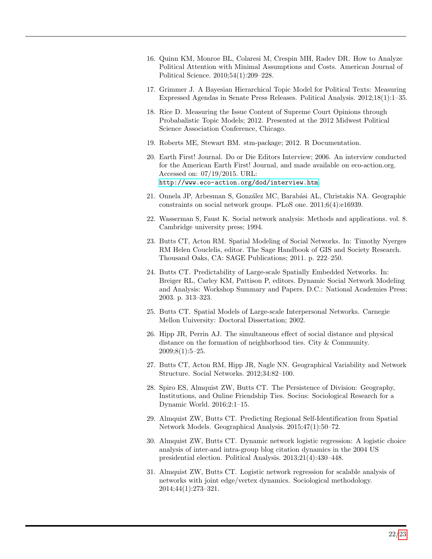- <span id="page-21-0"></span>16. Quinn KM, Monroe BL, Colaresi M, Crespin MH, Radev DR. How to Analyze Political Attention with Minimal Assumptions and Costs. American Journal of Political Science. 2010;54(1):209–228.
- 17. Grimmer J. A Bayesian Hierarchical Topic Model for Political Texts: Measuring Expressed Agendas in Senate Press Releases. Political Analysis. 2012;18(1):1–35.
- <span id="page-21-1"></span>18. Rice D. Measuring the Issue Content of Supreme Court Opinions through Probabalistic Topic Models; 2012. Presented at the 2012 Midwest Political Science Association Conference, Chicago.
- <span id="page-21-2"></span>19. Roberts ME, Stewart BM. stm-package; 2012. R Documentation.
- <span id="page-21-3"></span>20. Earth First! Journal. Do or Die Editors Interview; 2006. An interview conducted for the American Earth First! Journal, and made available on eco-action.org. Accessed on: 07/19/2015. URL: <http://www.eco-action.org/dod/interview.htm>.
- <span id="page-21-4"></span>21. Onnela JP, Arbesman S, González MC, Barabási AL, Christakis NA. Geographic constraints on social network groups. PLoS one. 2011;6(4):e16939.
- <span id="page-21-5"></span>22. Wasserman S, Faust K. Social network analysis: Methods and applications. vol. 8. Cambridge university press; 1994.
- <span id="page-21-6"></span>23. Butts CT, Acton RM. Spatial Modeling of Social Networks. In: Timothy Nyerges RM Helen Couclelis, editor. The Sage Handbook of GIS and Society Research. Thousand Oaks, CA: SAGE Publications; 2011. p. 222–250.
- <span id="page-21-7"></span>24. Butts CT. Predictability of Large-scale Spatially Embedded Networks. In: Breiger RL, Carley KM, Pattison P, editors. Dynamic Social Network Modeling and Analysis: Workshop Summary and Papers. D.C.: National Academies Press; 2003. p. 313–323.
- <span id="page-21-8"></span>25. Butts CT. Spatial Models of Large-scale Interpersonal Networks. Carnegie Mellon University: Doctoral Dissertation; 2002.
- 26. Hipp JR, Perrin AJ. The simultaneous effect of social distance and physical distance on the formation of neighborhood ties. City & Community.  $2009:8(1):5-25.$
- <span id="page-21-12"></span>27. Butts CT, Acton RM, Hipp JR, Nagle NN. Geographical Variability and Network Structure. Social Networks. 2012;34:82–100.
- <span id="page-21-13"></span>28. Spiro ES, Almquist ZW, Butts CT. The Persistence of Division: Geography, Institutions, and Online Friendship Ties. Socius: Sociological Research for a Dynamic World. 2016;2:1–15.
- <span id="page-21-9"></span>29. Almquist ZW, Butts CT. Predicting Regional Self-Identification from Spatial Network Models. Geographical Analysis. 2015;47(1):50–72.
- <span id="page-21-10"></span>30. Almquist ZW, Butts CT. Dynamic network logistic regression: A logistic choice analysis of inter-and intra-group blog citation dynamics in the 2004 US presidential election. Political Analysis. 2013;21(4):430–448.
- <span id="page-21-11"></span>31. Almquist ZW, Butts CT. Logistic network regression for scalable analysis of networks with joint edge/vertex dynamics. Sociological methodology. 2014;44(1):273–321.